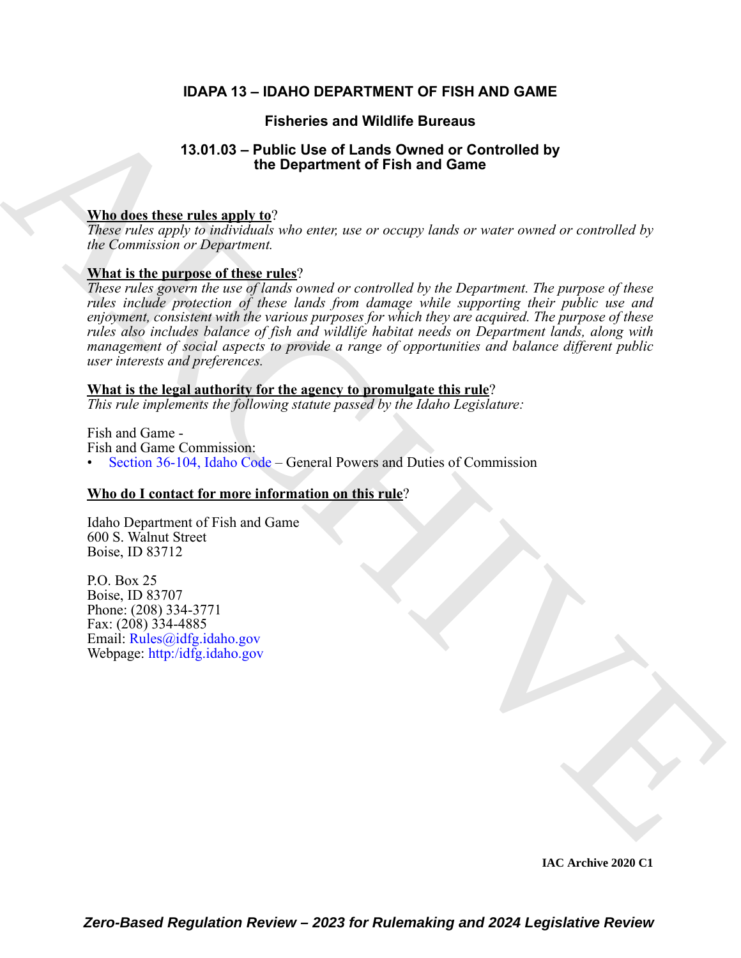# **IDAPA 13 – IDAHO DEPARTMENT OF FISH AND GAME**

# **Fisheries and Wildlife Bureaus**

# **13.01.03 – Public Use of Lands Owned or Controlled by the Department of Fish and Game**

### **Who does these rules apply to**?

*These rules apply to individuals who enter, use or occupy lands or water owned or controlled by the Commission or Department.* 

## **What is the purpose of these rules**?

Fisheries and Wildlife Bureaus<br>
13.01.03 – Petitic Use of Lands Owned or [C](https://legislature.idaho.gov/statutesrules/idstat/Title36/T36CH1/SECT36-104/)ontrolled by<br>
The does these rules apply to?<br>
Whe does these rules apply to the Department of Fish and Game<br>
When the transition of Digenonical<br>
Se *These rules govern the use of lands owned or controlled by the Department. The purpose of these rules include protection of these lands from damage while supporting their public use and enjoyment, consistent with the various purposes for which they are acquired. The purpose of these rules also includes balance of fish and wildlife habitat needs on Department lands, along with management of social aspects to provide a range of opportunities and balance different public user interests and preferences.*

### **What is the legal authority for the agency to promulgate this rule**?

*This rule implements the following statute passed by the Idaho Legislature:*

Fish and Game - Fish and Game Commission: • Section 36-104, Idaho Code – General Powers and Duties of Commission

## **Who do I contact for more information on this rule**?

Idaho Department of Fish and Game 600 S. Walnut Street Boise, ID 83712

P.O. Box 25 Boise, ID 83707 Phone: (208) 334-3771 Fax: (208) 334-4885 Email: Rules@idfg.idaho.gov Webpage: http:/idfg.idaho.gov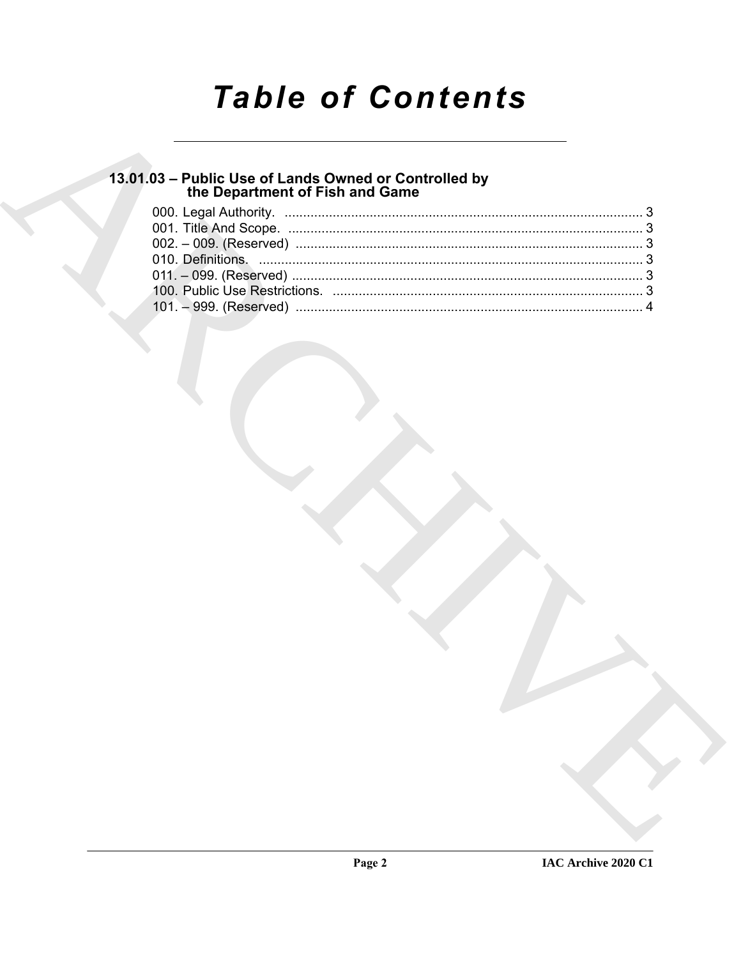# **Table of Contents**

# 13.01.03 - Public Use of Lands Owned or Controlled by<br>the Department of Fish and Game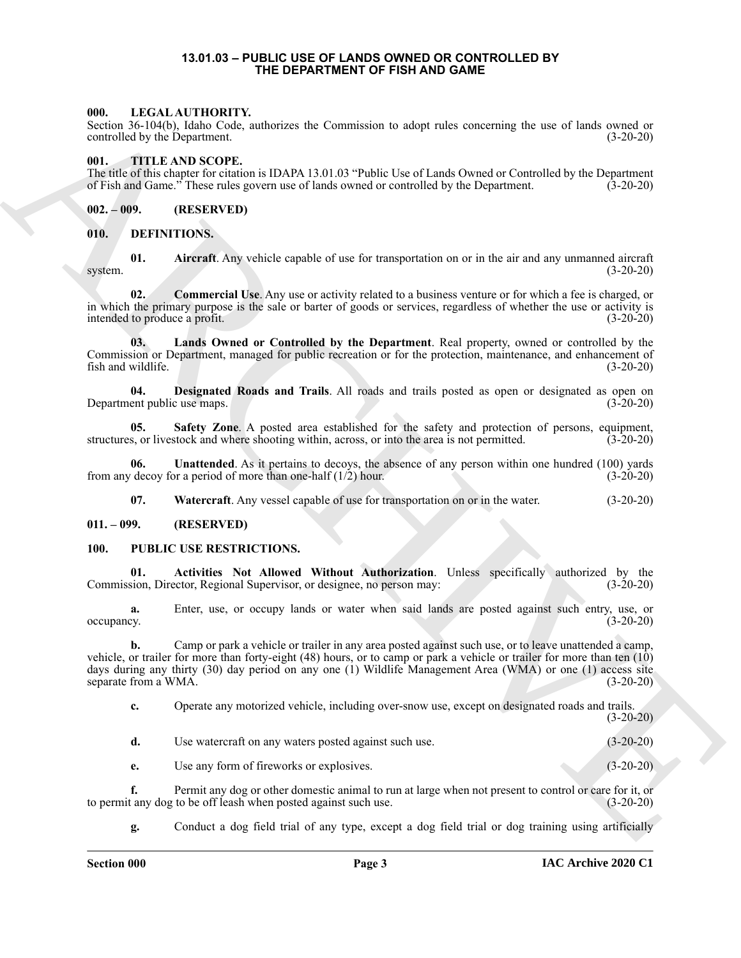#### **13.01.03 – PUBLIC USE OF LANDS OWNED OR CONTROLLED BY THE DEPARTMENT OF FISH AND GAME**

#### <span id="page-2-15"></span><span id="page-2-1"></span><span id="page-2-0"></span>**000. LEGAL AUTHORITY.**

Section 36-104(b), Idaho Code, authorizes the Commission to adopt rules concerning the use of lands owned or controlled by the Department. (3-20-20)

#### <span id="page-2-18"></span><span id="page-2-2"></span>**001. TITLE AND SCOPE.**

The title of this chapter for citation is IDAPA 13.01.03 "Public Use of Lands Owned or Controlled by the Department of Fish and Game." These rules govern use of lands owned or controlled by the Department. (3-20-20) of Fish and Game." These rules govern use of lands owned or controlled by the Department.

<span id="page-2-3"></span>**002. – 009. (RESERVED)**

#### <span id="page-2-7"></span><span id="page-2-4"></span>**010. DEFINITIONS.**

<span id="page-2-8"></span>**01. Aircraft**. Any vehicle capable of use for transportation on or in the air and any unmanned aircraft system. (3-20-20)

<span id="page-2-9"></span>**02. Commercial Use**. Any use or activity related to a business venture or for which a fee is charged, or in which the primary purpose is the sale or barter of goods or services, regardless of whether the use or activity is intended to produce a profit. (3-20-20)

<span id="page-2-11"></span>**03. Lands Owned or Controlled by the Department**. Real property, owned or controlled by the Commission or Department, managed for public recreation or for the protection, maintenance, and enhancement of fish and wildlife. (3-20-20) fish and wildlife.

<span id="page-2-10"></span>**04. Designated Roads and Trails**. All roads and trails posted as open or designated as open on Department public use maps.

<span id="page-2-12"></span>**05. Safety Zone**. A posted area established for the safety and protection of persons, equipment, structures, or livestock and where shooting within, across, or into the area is not permitted. (3-20-20)

**06. Unattended**. As it pertains to decoys, the absence of any person within one hundred (100) yards from any decoy for a period of more than one-half  $(1/2)$  hour. (3-20-20)

<span id="page-2-17"></span><span id="page-2-16"></span><span id="page-2-14"></span><span id="page-2-13"></span>**07. Watercraft**. Any vessel capable of use for transportation on or in the water. (3-20-20)

#### <span id="page-2-5"></span>**011. – 099. (RESERVED)**

#### <span id="page-2-6"></span>**100. PUBLIC USE RESTRICTIONS.**

**01. Activities Not Allowed Without Authorization**. Unless specifically authorized by the Commission, Director, Regional Supervisor, or designee, no person may:

**a.** Enter, use, or occupy lands or water when said lands are posted against such entry, use, or occupancy. (3-20-20)

66. Include the control of the control of the Democratic Section 11 and the control of the control of the control of the control of the control of the Control of the Control of the Control of the Control of the Control of **b.** Camp or park a vehicle or trailer in any area posted against such use, or to leave unattended a camp, vehicle, or trailer for more than forty-eight (48) hours, or to camp or park a vehicle or trailer for more than ten (10) days during any thirty (30) day period on any one (1) Wildlife Management Area (WMA) or one (1) access site separate from a WMA.  $(3-20-20)$ 

**c.** Operate any motorized vehicle, including over-snow use, except on designated roads and trails.  $(3-20-20)$ 

| Use watercraft on any waters posted against such use. | $(3-20-20)$ |
|-------------------------------------------------------|-------------|
|                                                       |             |

**e.** Use any form of fireworks or explosives. (3-20-20)

**f.** Permit any dog or other domestic animal to run at large when not present to control or care for it, or to permit any dog to be off leash when posted against such use. (3-20-20)

**g.** Conduct a dog field trial of any type, except a dog field trial or dog training using artificially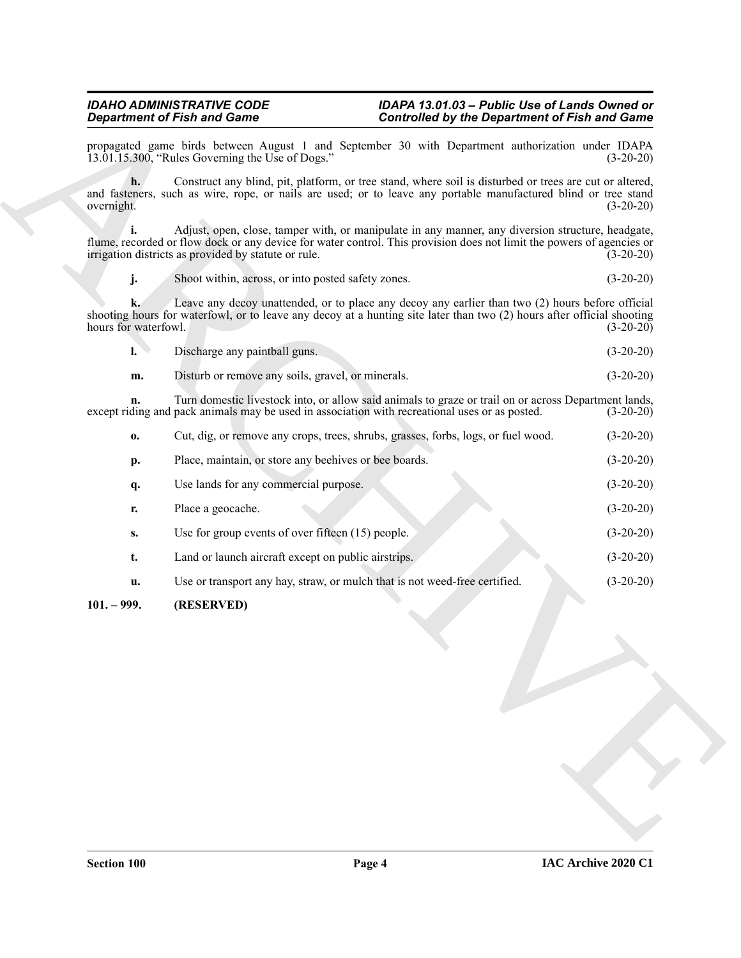#### *IDAHO ADMINISTRATIVE CODE IDAPA 13.01.03 – Public Use of Lands Owned or Department of Fish and Game Controlled by the Department of Fish and Game*

<span id="page-3-0"></span>

| $\mathbf{L}$ | Discharge any paintball guns. |  |  | $(3-20-20)$ |
|--------------|-------------------------------|--|--|-------------|
|              |                               |  |  |             |

|                            | <b>Department of Fish and Game</b>                                                             | <b>Controlled by the Department of Fish and Game</b>                                                                                                                                                                       |             |  |  |  |
|----------------------------|------------------------------------------------------------------------------------------------|----------------------------------------------------------------------------------------------------------------------------------------------------------------------------------------------------------------------------|-------------|--|--|--|
|                            | 13.01.15.300, "Rules Governing the Use of Dogs."                                               | propagated game birds between August 1 and September 30 with Department authorization under IDAPA                                                                                                                          | $(3-20-20)$ |  |  |  |
| h.<br>overnight.           |                                                                                                | Construct any blind, pit, platform, or tree stand, where soil is disturbed or trees are cut or altered,<br>and fasteners, such as wire, rope, or nails are used; or to leave any portable manufactured blind or tree stand | $(3-20-20)$ |  |  |  |
|                            | irrigation districts as provided by statute or rule.                                           | Adjust, open, close, tamper with, or manipulate in any manner, any diversion structure, headgate,<br>flume, recorded or flow dock or any device for water control. This provision does not limit the powers of agencies or | $(3-20-20)$ |  |  |  |
| j.                         | Shoot within, across, or into posted safety zones.                                             |                                                                                                                                                                                                                            | $(3-20-20)$ |  |  |  |
| k.<br>hours for waterfowl. |                                                                                                | Leave any decoy unattended, or to place any decoy any earlier than two (2) hours before official<br>shooting hours for waterfowl, or to leave any decoy at a hunting site later than two (2) hours after official shooting | $(3-20-20)$ |  |  |  |
| $\mathbf{l}$ .             | Discharge any paintball guns.                                                                  |                                                                                                                                                                                                                            | $(3-20-20)$ |  |  |  |
| m.                         | Disturb or remove any soils, gravel, or minerals.                                              |                                                                                                                                                                                                                            | $(3-20-20)$ |  |  |  |
| n.                         | except riding and pack animals may be used in association with recreational uses or as posted. | Turn domestic livestock into, or allow said animals to graze or trail on or across Department lands,                                                                                                                       | $(3-20-20)$ |  |  |  |
| 0.                         |                                                                                                | Cut, dig, or remove any crops, trees, shrubs, grasses, forbs, logs, or fuel wood.                                                                                                                                          | $(3-20-20)$ |  |  |  |
| p.                         | Place, maintain, or store any beehives or bee boards.                                          |                                                                                                                                                                                                                            | $(3-20-20)$ |  |  |  |
| q.                         | Use lands for any commercial purpose.                                                          |                                                                                                                                                                                                                            | $(3-20-20)$ |  |  |  |
| r.                         | Place a geocache.                                                                              |                                                                                                                                                                                                                            | $(3-20-20)$ |  |  |  |
| S.                         | Use for group events of over fifteen (15) people.                                              |                                                                                                                                                                                                                            | $(3-20-20)$ |  |  |  |
| t.                         | Land or launch aircraft except on public airstrips.                                            |                                                                                                                                                                                                                            | $(3-20-20)$ |  |  |  |
| u.                         | Use or transport any hay, straw, or mulch that is not weed-free certified.                     |                                                                                                                                                                                                                            | $(3-20-20)$ |  |  |  |
| $101. - 999.$              | (RESERVED)                                                                                     |                                                                                                                                                                                                                            |             |  |  |  |
|                            |                                                                                                |                                                                                                                                                                                                                            |             |  |  |  |
|                            |                                                                                                |                                                                                                                                                                                                                            |             |  |  |  |
|                            |                                                                                                |                                                                                                                                                                                                                            |             |  |  |  |
|                            |                                                                                                |                                                                                                                                                                                                                            |             |  |  |  |
|                            |                                                                                                |                                                                                                                                                                                                                            |             |  |  |  |
|                            |                                                                                                |                                                                                                                                                                                                                            |             |  |  |  |
|                            |                                                                                                |                                                                                                                                                                                                                            |             |  |  |  |
|                            |                                                                                                |                                                                                                                                                                                                                            |             |  |  |  |
|                            |                                                                                                |                                                                                                                                                                                                                            |             |  |  |  |